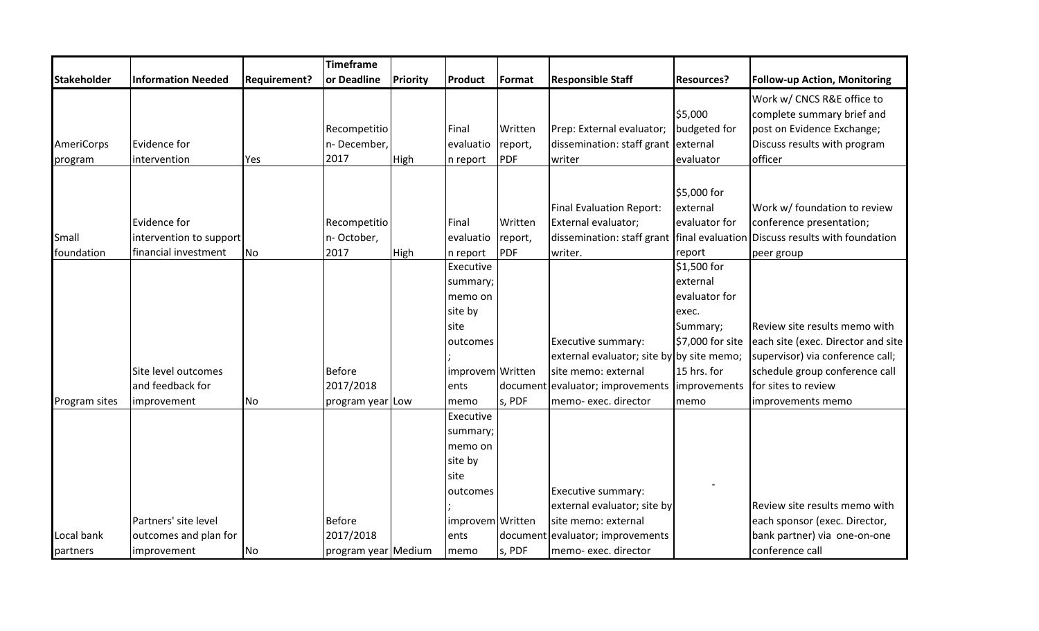|                    |                           |                     | Timeframe           |                 |                  |            |                                           |                   |                                                                                 |
|--------------------|---------------------------|---------------------|---------------------|-----------------|------------------|------------|-------------------------------------------|-------------------|---------------------------------------------------------------------------------|
| <b>Stakeholder</b> | <b>Information Needed</b> | <b>Requirement?</b> | or Deadline         | <b>Priority</b> | Product          | Format     | <b>Responsible Staff</b>                  | <b>Resources?</b> | <b>Follow-up Action, Monitoring</b>                                             |
|                    |                           |                     |                     |                 |                  |            |                                           |                   | Work w/ CNCS R&E office to                                                      |
|                    |                           |                     |                     |                 |                  |            |                                           | \$5,000           | complete summary brief and                                                      |
|                    |                           |                     | Recompetitio        |                 | Final            | Written    | Prep: External evaluator;                 | budgeted for      | post on Evidence Exchange;                                                      |
| AmeriCorps         | Evidence for              |                     | n-December,         |                 | evaluatio        | report,    | dissemination: staff grant external       |                   | Discuss results with program                                                    |
| program            | intervention              | Yes                 | 2017                | High            | n report         | <b>PDF</b> | writer                                    | evaluator         | officer                                                                         |
|                    |                           |                     |                     |                 |                  |            |                                           |                   |                                                                                 |
|                    |                           |                     |                     |                 |                  |            |                                           | \$5,000 for       |                                                                                 |
|                    |                           |                     |                     |                 |                  |            | <b>Final Evaluation Report:</b>           | external          | Work w/ foundation to review                                                    |
|                    | Evidence for              |                     | Recompetitio        |                 | Final            | Written    | External evaluator;                       | evaluator for     | conference presentation;                                                        |
| Small              | intervention to support   |                     | n-October,          |                 | evaluatio        | report,    |                                           |                   | dissemination: staff grant   final evaluation   Discuss results with foundation |
| foundation         | financial investment      | No                  | 2017                | <b>High</b>     | n report         | <b>PDF</b> | writer.                                   | report            | peer group                                                                      |
|                    |                           |                     |                     |                 | Executive        |            |                                           | \$1,500 for       |                                                                                 |
|                    |                           |                     |                     |                 | summary;         |            |                                           | external          |                                                                                 |
|                    |                           |                     |                     |                 | memo on          |            |                                           | evaluator for     |                                                                                 |
|                    |                           |                     |                     |                 | site by          |            |                                           | exec.             |                                                                                 |
|                    |                           |                     |                     |                 | site             |            |                                           | Summary;          | Review site results memo with                                                   |
|                    |                           |                     |                     |                 | outcomes         |            | Executive summary:                        | \$7,000 for site  | each site (exec. Director and site                                              |
|                    |                           |                     |                     |                 |                  |            | external evaluator; site by by site memo; |                   | supervisor) via conference call;                                                |
|                    | Site level outcomes       |                     | <b>Before</b>       |                 | improvem Written |            | site memo: external                       | 15 hrs. for       | schedule group conference call                                                  |
|                    | and feedback for          |                     | 2017/2018           |                 | ents             | document   | evaluator; improvements   improvements    |                   | for sites to review                                                             |
| Program sites      | improvement               | No                  | program year Low    |                 | memo             | s, PDF     | memo-exec. director                       | memo              | improvements memo                                                               |
|                    |                           |                     |                     |                 | Executive        |            |                                           |                   |                                                                                 |
|                    |                           |                     |                     |                 | summary;         |            |                                           |                   |                                                                                 |
|                    |                           |                     |                     |                 | memo on          |            |                                           |                   |                                                                                 |
|                    |                           |                     |                     |                 | site by          |            |                                           |                   |                                                                                 |
|                    |                           |                     |                     |                 | site             |            |                                           |                   |                                                                                 |
|                    |                           |                     |                     |                 | outcomes         |            | Executive summary:                        |                   |                                                                                 |
|                    |                           |                     |                     |                 |                  |            | external evaluator; site by               |                   | Review site results memo with                                                   |
|                    | Partners' site level      |                     | <b>Before</b>       |                 | improvem Written |            | site memo: external                       |                   | each sponsor (exec. Director,                                                   |
| Local bank         | outcomes and plan for     |                     | 2017/2018           |                 | ents             |            | document evaluator; improvements          |                   | bank partner) via one-on-one                                                    |
| partners           | improvement               | No                  | program year Medium |                 | memo             | s, PDF     | memo-exec. director                       |                   | conference call                                                                 |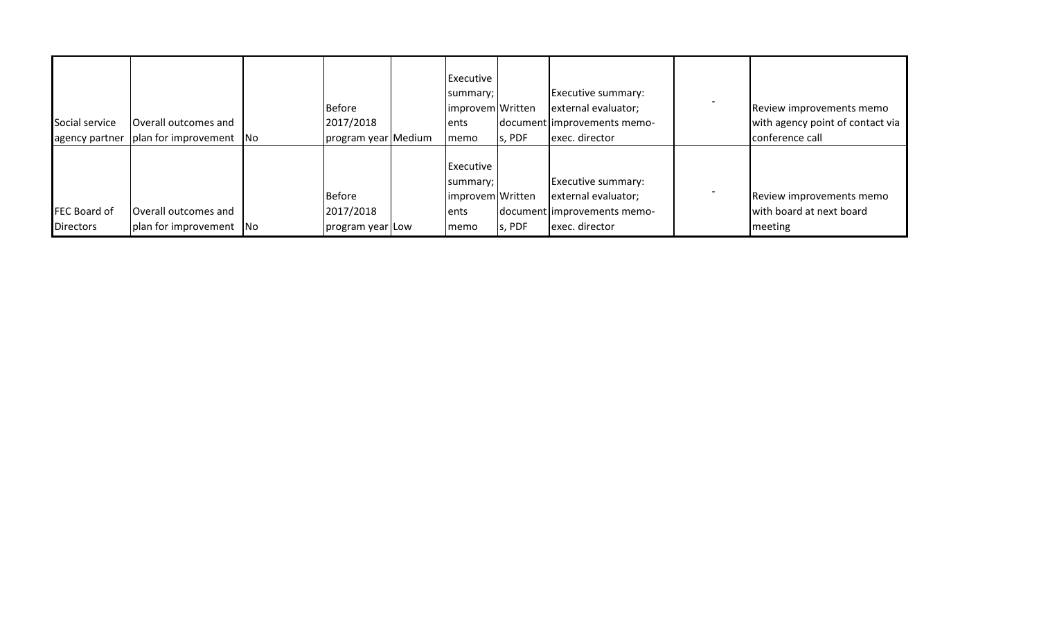| Social service<br>agency partner        | Overall outcomes and<br>plan for improvement   No      | <b>Before</b><br>2017/2018<br>program year Medium | Executive<br>summary;<br>improvem Written<br>ents<br>memo  | s, PDF | Executive summary:<br>external evaluator;<br>document improvements memo-<br>exec. director | Review improvements memo<br>with agency point of contact via<br>conference call |
|-----------------------------------------|--------------------------------------------------------|---------------------------------------------------|------------------------------------------------------------|--------|--------------------------------------------------------------------------------------------|---------------------------------------------------------------------------------|
| <b>FEC Board of</b><br><b>Directors</b> | <b>Overall outcomes and</b><br>plan for improvement No | <b>Before</b><br>2017/2018<br>program year Low    | Executive<br>summary;<br>improvem Written<br>lents<br>memo | s, PDF | Executive summary:<br>external evaluator;<br>document improvements memo-<br>exec. director | Review improvements memo<br>with board at next board<br>meeting                 |